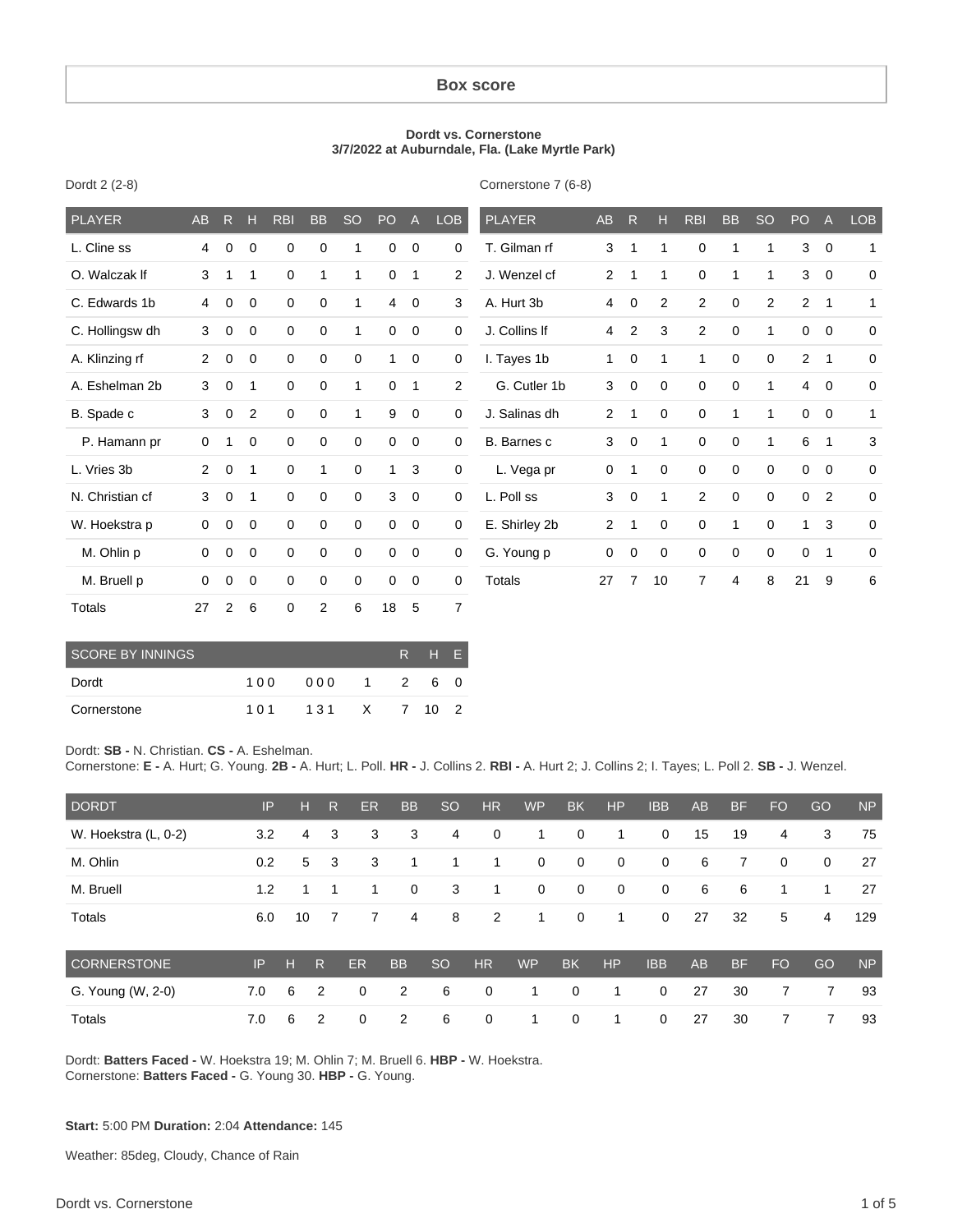#### **Box score**

#### **Dordt vs. Cornerstone 3/7/2022 at Auburndale, Fla. (Lake Myrtle Park)**

Cornerstone 7 (6-8)

| <b>PLAYER</b>   | AB             | $\mathsf{R}$ | н              | <b>RBI</b>  | <b>BB</b>   | <b>SO</b>    | P <sub>O</sub> | $\overline{A}$ | <b>LOB</b>     | <b>PLAYER</b> | <b>AB</b>      | R.             | н              | <b>RBI</b>     | <b>BB</b>   | <b>SO</b>      | PO             | $\overline{A}$ | <b>LOB</b>  |
|-----------------|----------------|--------------|----------------|-------------|-------------|--------------|----------------|----------------|----------------|---------------|----------------|----------------|----------------|----------------|-------------|----------------|----------------|----------------|-------------|
| L. Cline ss     | 4              | 0            | 0              | 0           | 0           | 1            | 0              | $\mathbf 0$    | $\mathbf 0$    | T. Gilman rf  | 3              | 1              | 1              | $\mathbf 0$    | 1           |                | 3              | $\overline{0}$ | 1           |
| O. Walczak If   | 3              | 1            | 1              | $\mathbf 0$ | 1           | 1            | 0              | $\mathbf{1}$   | 2              | J. Wenzel cf  | $\overline{2}$ | 1              | 1              | $\mathbf 0$    | 1           | $\overline{1}$ | 3              | $\overline{0}$ | $\mathbf 0$ |
| C. Edwards 1b   | 4              | 0            | $\mathbf 0$    | $\mathbf 0$ | $\mathbf 0$ | 1            | 4              | $\mathbf 0$    | 3              | A. Hurt 3b    | 4              | $\mathbf 0$    | $\overline{c}$ | $\overline{2}$ | $\mathbf 0$ | $\overline{2}$ | $\overline{2}$ | 1              | 1           |
| C. Hollingsw dh | 3              | 0            | $\mathbf 0$    | $\mathbf 0$ | $\mathbf 0$ | 1            | 0              | $\mathbf 0$    | $\mathbf 0$    | J. Collins If | 4              | $\overline{2}$ | 3              | $\overline{2}$ | $\mathbf 0$ | 1              | $\mathbf 0$    | $\mathbf 0$    | 0           |
| A. Klinzing rf  | $\overline{2}$ | 0            | $\mathbf 0$    | $\mathbf 0$ | $\mathbf 0$ | 0            | 1              | 0              | $\mathbf 0$    | I. Tayes 1b   | 1              | $\mathbf 0$    | 1              | 1              | $\mathbf 0$ | $\mathbf 0$    | 2              | 1              | $\mathbf 0$ |
| A. Eshelman 2b  | 3              | $\mathbf 0$  | 1              | $\mathbf 0$ | $\mathbf 0$ | $\mathbf{1}$ | 0              | $\overline{1}$ | $\overline{2}$ | G. Cutler 1b  | 3              | $\mathbf 0$    | 0              | $\mathbf 0$    | $\mathbf 0$ | 1              | $\overline{4}$ | $\overline{0}$ | $\mathbf 0$ |
| B. Spade c      | 3              | 0            | $\overline{2}$ | $\mathbf 0$ | $\mathbf 0$ | 1            | 9              | 0              | $\mathbf 0$    | J. Salinas dh | $\overline{2}$ | 1              | 0              | 0              | 1           | 1              | $\mathbf 0$    | $\mathbf 0$    | 1           |
| P. Hamann pr    | 0              | 1            | 0              | $\mathbf 0$ | $\mathbf 0$ | $\mathbf 0$  | $\mathbf 0$    | $\mathbf 0$    | $\mathbf 0$    | B. Barnes c   | 3              | $\mathbf 0$    | 1              | $\mathbf 0$    | $\mathbf 0$ |                | 6              | 1              | 3           |
| L. Vries 3b     | $\overline{2}$ | 0            | 1              | $\mathbf 0$ | 1           | $\mathbf 0$  | $\mathbf{1}$   | 3              | $\mathbf 0$    | L. Vega pr    | 0              | 1              | 0              | $\mathbf 0$    | $\mathbf 0$ | $\Omega$       | $\mathbf 0$    | $\mathbf 0$    | $\Omega$    |
| N. Christian cf | 3              | $\mathbf 0$  | 1              | $\mathbf 0$ | $\mathbf 0$ | $\mathbf 0$  | 3              | $\mathbf 0$    | $\mathbf 0$    | L. Poll ss    | 3              | $\mathbf 0$    | 1              | $\overline{2}$ | $\mathbf 0$ | 0              | 0              | $\overline{2}$ | $\mathbf 0$ |
| W. Hoekstra p   | 0              | $\mathbf 0$  | $\mathbf 0$    | $\mathbf 0$ | $\mathbf 0$ | $\mathbf 0$  | 0              | $\mathbf 0$    | 0              | E. Shirley 2b | $\overline{2}$ | 1              | 0              | $\mathbf 0$    | 1           | $\mathbf 0$    | $\mathbf{1}$   | 3              | $\mathbf 0$ |
| M. Ohlin p      | 0              | 0            | $\mathbf 0$    | $\mathbf 0$ | $\mathbf 0$ | $\mathbf 0$  | 0              | 0              | 0              | G. Young p    | 0              | 0              | 0              | 0              | $\mathbf 0$ | $\mathbf 0$    | 0              | 1              | $\mathbf 0$ |
| M. Bruell p     | $\Omega$       | 0            | $\mathbf 0$    | $\mathbf 0$ | $\mathbf 0$ | $\mathbf 0$  | $\mathbf 0$    | $\mathbf 0$    | $\mathbf 0$    | Totals        | 27             | $\overline{7}$ | 10             | $\overline{7}$ | 4           | 8              | 21             | 9              | 6           |
| Totals          | 27             | 2            | 6              | $\mathbf 0$ | 2           | 6            | 18             | 5              | $\overline{7}$ |               |                |                |                |                |             |                |                |                |             |

| <b>SCORE BY INNINGS</b> |       | R HF         |  |     |  |    |
|-------------------------|-------|--------------|--|-----|--|----|
| Dordt                   | 100   | 000          |  | 1 2 |  | 60 |
| Cornerstone             | 1 0 1 | 131 X 7 10 2 |  |     |  |    |

Dordt: **SB -** N. Christian. **CS -** A. Eshelman.

Dordt 2 (2-8)

Cornerstone: **E -** A. Hurt; G. Young. **2B -** A. Hurt; L. Poll. **HR -** J. Collins 2. **RBI -** A. Hurt 2; J. Collins 2; I. Tayes; L. Poll 2. **SB -** J. Wenzel.

| <b>DORDT</b>         | IP  | H  | R | <b>ER</b> | <b>BB</b>      | <sub>SO</sub> | <b>HR</b>   | <b>WP</b>   | <b>BK</b>   | <b>HP</b>   | <b>IBB</b>  | <b>AB</b> | <b>BF</b> | <b>FO</b>   | GO           | <b>NP</b> |
|----------------------|-----|----|---|-----------|----------------|---------------|-------------|-------------|-------------|-------------|-------------|-----------|-----------|-------------|--------------|-----------|
| W. Hoekstra (L, 0-2) | 3.2 | 4  | 3 | 3         | 3              | 4             | 0           | 1           | $\mathbf 0$ | 1           | $\mathbf 0$ | 15        | 19        | 4           | 3            | 75        |
| M. Ohlin             | 0.2 | 5  | 3 | 3         |                |               | 1           | $\mathbf 0$ | $\mathbf 0$ | $\mathbf 0$ | $\mathbf 0$ | 6         | 7         | $\mathbf 0$ | $\mathbf{0}$ | 27        |
| M. Bruell            | 1.2 |    | 1 | 1         | 0              | 3             | 1           | 0           | $\mathbf 0$ | $\mathbf 0$ | $\mathbf 0$ | 6         | 6         | 1           | 1            | 27        |
| Totals               | 6.0 | 10 | 7 | 7         | 4              | 8             | 2           | 1           | $\mathbf 0$ | 1           | $\mathbf 0$ | 27        | 32        | 5           | 4            | 129       |
| CORNERSTONE          | IP  | н  | R | ER        | <b>BB</b>      | <sub>SO</sub> | <b>HR</b>   | <b>WP</b>   | <b>BK</b>   | <b>HP</b>   | <b>IBB</b>  | <b>AB</b> | <b>BF</b> | <b>FO</b>   | GO           | <b>NP</b> |
| G. Young (W, 2-0)    | 7.0 | 6  | 2 | 0         | $\overline{2}$ | 6             | $\mathbf 0$ | 1           | $\mathbf 0$ | -1          | $\mathbf 0$ | 27        | 30        | 7           | 7            | 93        |
| Totals               | 7.0 | 6  | 2 | 0         | 2              | 6             | 0           | 1           | $\mathbf 0$ | 1           | $\mathbf 0$ | 27        | 30        | 7           | 7            | 93        |

Dordt: **Batters Faced -** W. Hoekstra 19; M. Ohlin 7; M. Bruell 6. **HBP -** W. Hoekstra. Cornerstone: **Batters Faced -** G. Young 30. **HBP -** G. Young.

**Start:** 5:00 PM **Duration:** 2:04 **Attendance:** 145

Weather: 85deg, Cloudy, Chance of Rain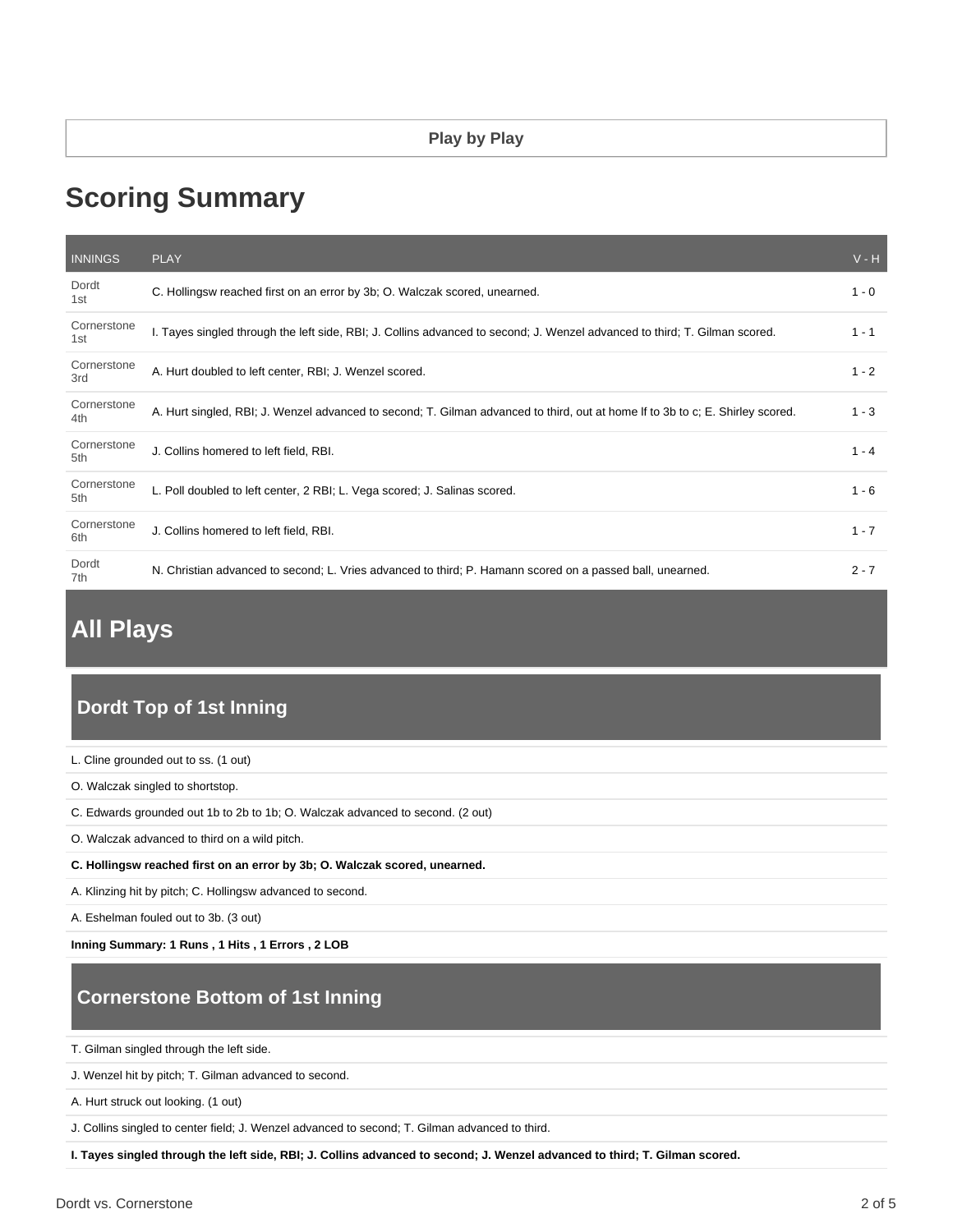# **Scoring Summary**

| <b>INNINGS</b>     | <b>PLAY</b>                                                                                                                    | $V - H$ |
|--------------------|--------------------------------------------------------------------------------------------------------------------------------|---------|
| Dordt<br>1st       | C. Hollingsw reached first on an error by 3b; O. Walczak scored, unearned.                                                     | $1 - 0$ |
| Cornerstone<br>1st | I. Tayes singled through the left side, RBI; J. Collins advanced to second; J. Wenzel advanced to third; T. Gilman scored.     | $1 - 1$ |
| Cornerstone<br>3rd | A. Hurt doubled to left center, RBI; J. Wenzel scored.                                                                         | $1 - 2$ |
| Cornerstone<br>4th | A. Hurt singled, RBI; J. Wenzel advanced to second; T. Gilman advanced to third, out at home If to 3b to c; E. Shirley scored. | $1 - 3$ |
| Cornerstone<br>5th | J. Collins homered to left field, RBI.                                                                                         | $1 - 4$ |
| Cornerstone<br>5th | L. Poll doubled to left center, 2 RBI; L. Vega scored; J. Salinas scored.                                                      | $1 - 6$ |
| Cornerstone<br>6th | J. Collins homered to left field, RBI.                                                                                         | $1 - 7$ |
| Dordt<br>7th       | N. Christian advanced to second; L. Vries advanced to third; P. Hamann scored on a passed ball, unearned.                      | $2 - 7$ |

## **All Plays**

### **Dordt Top of 1st Inning**

- L. Cline grounded out to ss. (1 out)
- O. Walczak singled to shortstop.
- C. Edwards grounded out 1b to 2b to 1b; O. Walczak advanced to second. (2 out)
- O. Walczak advanced to third on a wild pitch.
- **C. Hollingsw reached first on an error by 3b; O. Walczak scored, unearned.**
- A. Klinzing hit by pitch; C. Hollingsw advanced to second.

A. Eshelman fouled out to 3b. (3 out)

**Inning Summary: 1 Runs , 1 Hits , 1 Errors , 2 LOB**

## **Cornerstone Bottom of 1st Inning**

T. Gilman singled through the left side.

J. Wenzel hit by pitch; T. Gilman advanced to second.

A. Hurt struck out looking. (1 out)

J. Collins singled to center field; J. Wenzel advanced to second; T. Gilman advanced to third.

**I. Tayes singled through the left side, RBI; J. Collins advanced to second; J. Wenzel advanced to third; T. Gilman scored.**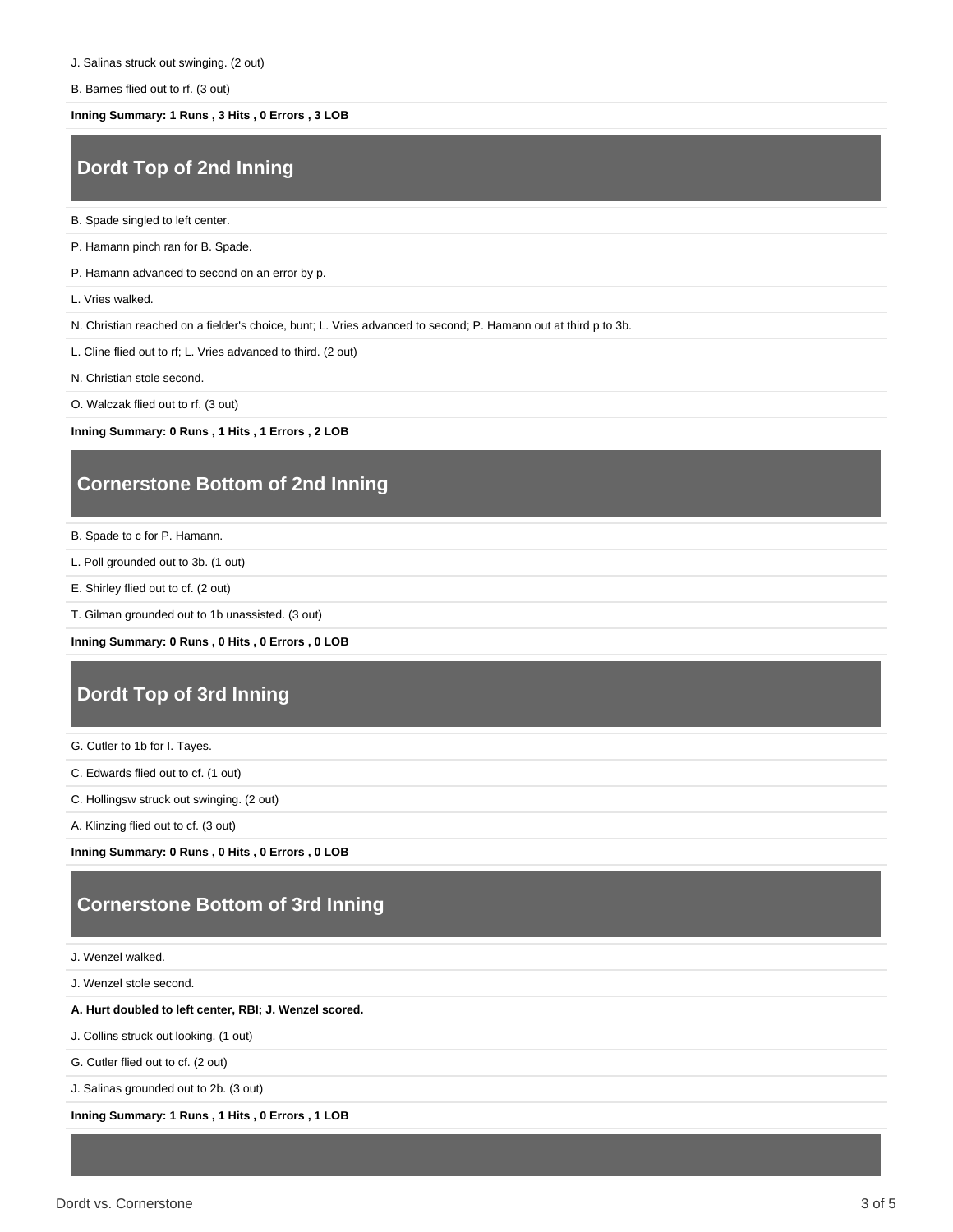B. Barnes flied out to rf. (3 out)

**Inning Summary: 1 Runs , 3 Hits , 0 Errors , 3 LOB**

#### **Dordt Top of 2nd Inning**

B. Spade singled to left center.

P. Hamann pinch ran for B. Spade.

P. Hamann advanced to second on an error by p.

L. Vries walked.

N. Christian reached on a fielder's choice, bunt; L. Vries advanced to second; P. Hamann out at third p to 3b.

L. Cline flied out to rf; L. Vries advanced to third. (2 out)

N. Christian stole second.

O. Walczak flied out to rf. (3 out)

**Inning Summary: 0 Runs , 1 Hits , 1 Errors , 2 LOB**

#### **Cornerstone Bottom of 2nd Inning**

B. Spade to c for P. Hamann.

L. Poll grounded out to 3b. (1 out)

E. Shirley flied out to cf. (2 out)

T. Gilman grounded out to 1b unassisted. (3 out)

**Inning Summary: 0 Runs , 0 Hits , 0 Errors , 0 LOB**

#### **Dordt Top of 3rd Inning**

G. Cutler to 1b for I. Tayes.

C. Edwards flied out to cf. (1 out)

C. Hollingsw struck out swinging. (2 out)

A. Klinzing flied out to cf. (3 out)

**Inning Summary: 0 Runs , 0 Hits , 0 Errors , 0 LOB**

#### **Cornerstone Bottom of 3rd Inning**

J. Wenzel walked.

J. Wenzel stole second.

**A. Hurt doubled to left center, RBI; J. Wenzel scored.**

J. Collins struck out looking. (1 out)

G. Cutler flied out to cf. (2 out)

J. Salinas grounded out to 2b. (3 out)

**Inning Summary: 1 Runs , 1 Hits , 0 Errors , 1 LOB**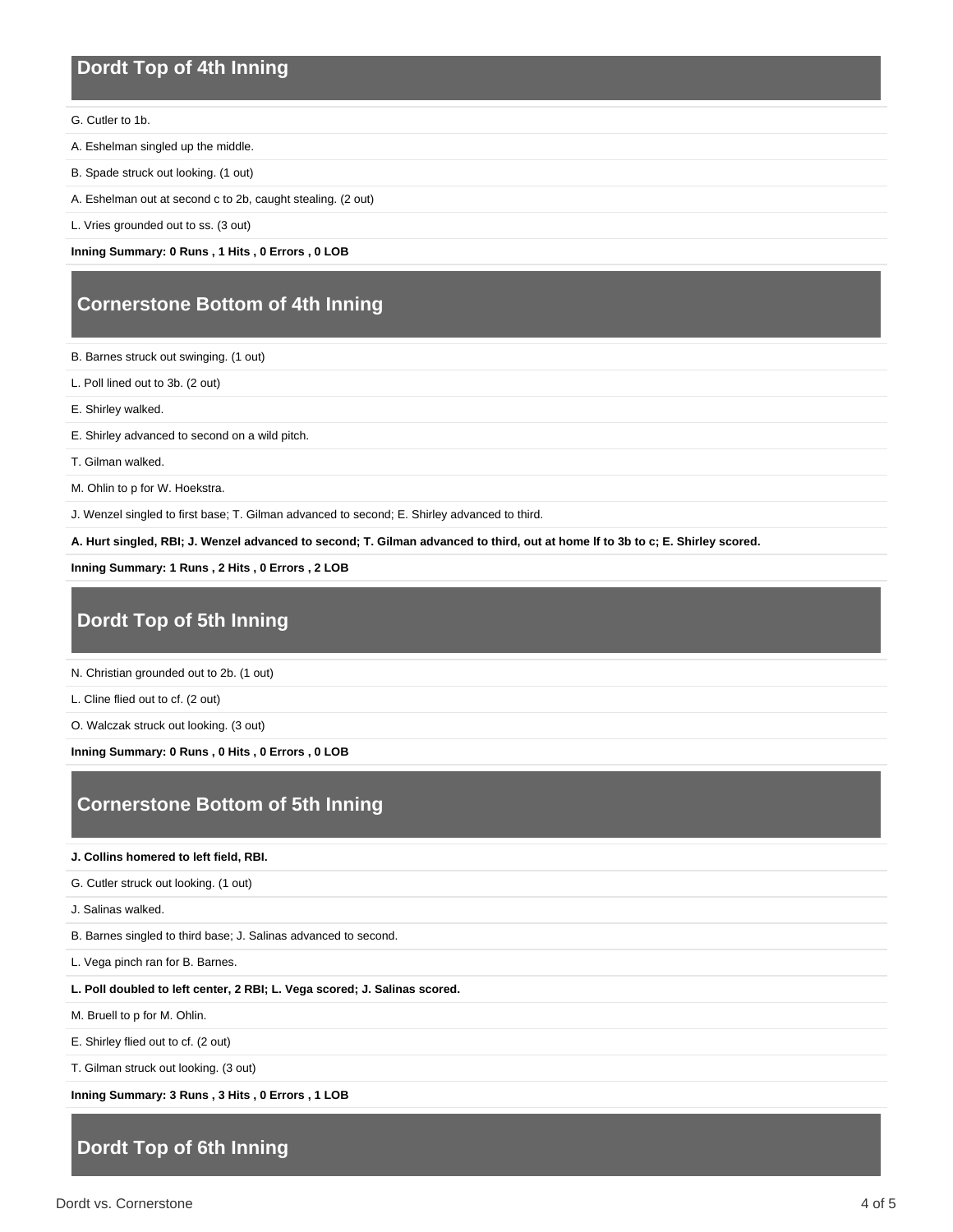#### **Dordt Top of 4th Inning**

G. Cutler to 1b.

- A. Eshelman singled up the middle.
- B. Spade struck out looking. (1 out)
- A. Eshelman out at second c to 2b, caught stealing. (2 out)
- L. Vries grounded out to ss. (3 out)

**Inning Summary: 0 Runs , 1 Hits , 0 Errors , 0 LOB**

#### **Cornerstone Bottom of 4th Inning**

B. Barnes struck out swinging. (1 out)

L. Poll lined out to 3b. (2 out)

E. Shirley walked.

E. Shirley advanced to second on a wild pitch.

T. Gilman walked.

M. Ohlin to p for W. Hoekstra.

J. Wenzel singled to first base; T. Gilman advanced to second; E. Shirley advanced to third.

**A. Hurt singled, RBI; J. Wenzel advanced to second; T. Gilman advanced to third, out at home lf to 3b to c; E. Shirley scored.**

**Inning Summary: 1 Runs , 2 Hits , 0 Errors , 2 LOB**

## **Dordt Top of 5th Inning**

N. Christian grounded out to 2b. (1 out)

L. Cline flied out to cf. (2 out)

O. Walczak struck out looking. (3 out)

**Inning Summary: 0 Runs , 0 Hits , 0 Errors , 0 LOB**

### **Cornerstone Bottom of 5th Inning**

#### **J. Collins homered to left field, RBI.**

G. Cutler struck out looking. (1 out)

J. Salinas walked.

B. Barnes singled to third base; J. Salinas advanced to second.

L. Vega pinch ran for B. Barnes.

**L. Poll doubled to left center, 2 RBI; L. Vega scored; J. Salinas scored.**

M. Bruell to p for M. Ohlin.

E. Shirley flied out to cf. (2 out)

T. Gilman struck out looking. (3 out)

**Inning Summary: 3 Runs , 3 Hits , 0 Errors , 1 LOB**

#### **Dordt Top of 6th Inning**